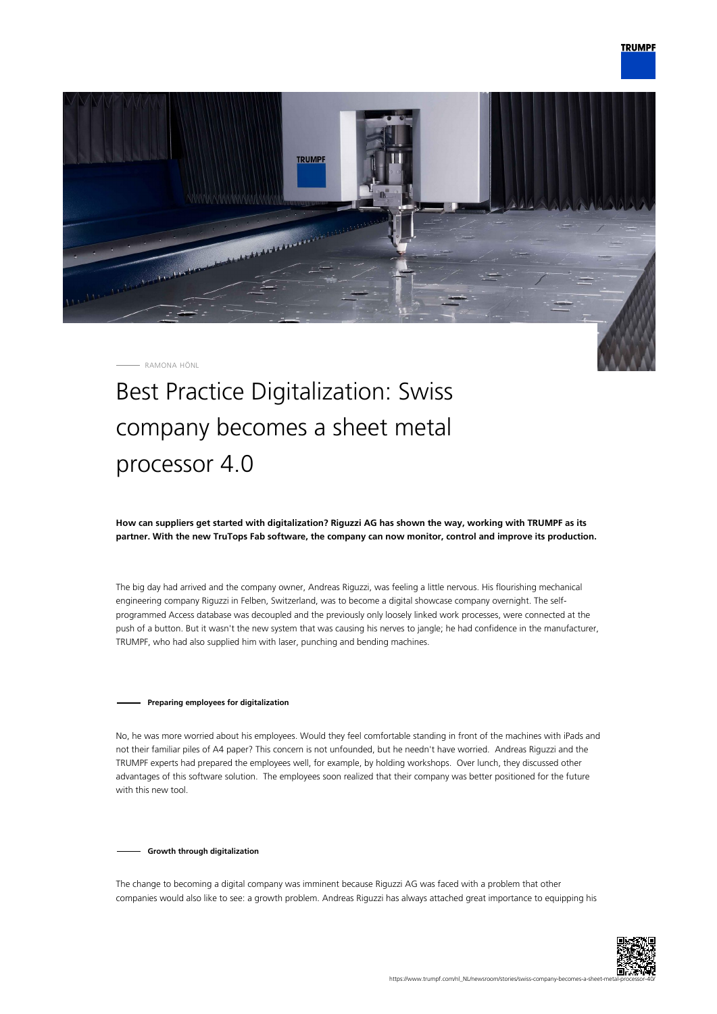

RAMONA HÖNL

# Best Practice Digitalization: Swiss company becomes a sheet metal processor 4.0

**How can suppliers get started with digitalization? Riguzzi AG has shown the way, working with TRUMPF as its partner. With the new TruTops Fab software, the company can now monitor, control and improve its production.**

The big day had arrived and the company owner, Andreas Riguzzi, was feeling a little nervous. His flourishing mechanical engineering company Riguzzi in Felben, Switzerland, was to become a digital showcase company overnight. The selfprogrammed Access database was decoupled and the previously only loosely linked work processes, were connected at the push of a button. But it wasn't the new system that was causing his nerves to jangle; he had confidence in the manufacturer, TRUMPF, who had also supplied him with laser, punching and bending machines.

# **Preparing employees for digitalization**

No, he was more worried about his employees. Would they feel comfortable standing in front of the machines with iPads and not their familiar piles of A4 paper? This concern is not unfounded, but he needn't have worried. Andreas Riguzzi and the TRUMPF experts had prepared the employees well, for example, by holding workshops. Over lunch, they discussed other advantages of this software solution. The employees soon realized that their company was better positioned for the future with this new tool.

### **Growth through digitalization**

The change to becoming a digital company was imminent because Riguzzi AG was faced with a problem that other companies would also like to see: a growth problem. Andreas Riguzzi has always attached great importance to equipping his

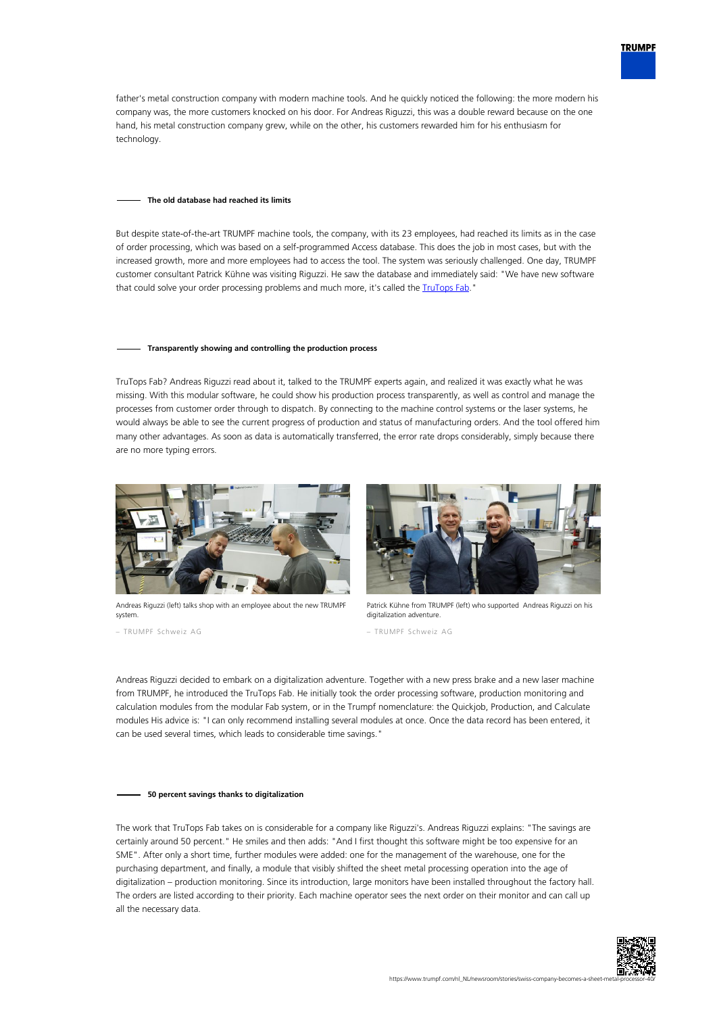

father's metal construction company with modern machine tools. And he quickly noticed the following: the more modern his company was, the more customers knocked on his door. For Andreas Riguzzi, this was a double reward because on the one hand, his metal construction company grew, while on the other, his customers rewarded him for his enthusiasm for technology.

#### **The old database had reached its limits**

But despite state-of-the-art TRUMPF machine tools, the company, with its 23 employees, had reached its limits as in the case of order processing, which was based on a self-programmed Access database. This does the job in most cases, but with the increased growth, more and more employees had to access the tool. The system was seriously challenged. One day, TRUMPF customer consultant Patrick Kühne was visiting Riguzzi. He saw the database and immediately said: "We have new software that could solve your order processing problems and much more, it's called the [TruTops Fab.](https://www.trumpf.com/nl_NL/producten/software/trutops-fab/)"

## **Transparently showing and controlling the production process**

TruTops Fab? Andreas Riguzzi read about it, talked to the TRUMPF experts again, and realized it was exactly what he was missing. With this modular software, he could show his production process transparently, as well as control and manage the processes from customer order through to dispatch. By connecting to the machine control systems or the laser systems, he would always be able to see the current progress of production and status of manufacturing orders. And the tool offered him many other advantages. As soon as data is automatically transferred, the error rate drops considerably, simply because there are no more typing errors.



Andreas Riguzzi (left) talks shop with an employee about the new TRUMPF system.

– TRUMPF Schweiz AG



Patrick Kühne from TRUMPF (left) who supported Andreas Riguzzi on his digitalization adventure

– TRUMPF Schweiz AG

Andreas Riguzzi decided to embark on a digitalization adventure. Together with a new press brake and a new laser machine from TRUMPF, he introduced the TruTops Fab. He initially took the order processing software, production monitoring and calculation modules from the modular Fab system, or in the Trumpf nomenclature: the Quickjob, Production, and Calculate modules His advice is: "I can only recommend installing several modules at once. Once the data record has been entered, it can be used several times, which leads to considerable time savings."

#### **50 percent savings thanks to digitalization**

The work that TruTops Fab takes on is considerable for a company like Riguzzi's. Andreas Riguzzi explains: "The savings are certainly around 50 percent." He smiles and then adds: "And I first thought this software might be too expensive for an SME". After only a short time, further modules were added: one for the management of the warehouse, one for the purchasing department, and finally, a module that visibly shifted the sheet metal processing operation into the age of digitalization – production monitoring. Since its introduction, large monitors have been installed throughout the factory hall. The orders are listed according to their priority. Each machine operator sees the next order on their monitor and can call up all the necessary data.